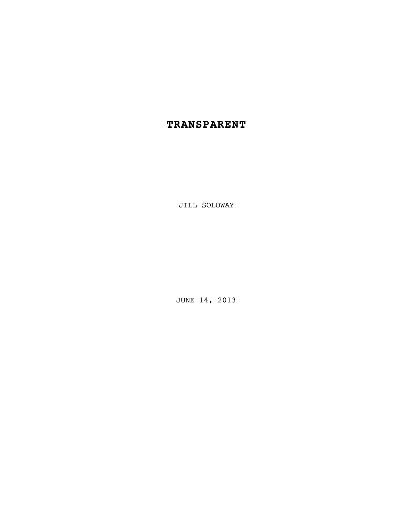# **TRANSPARENT**

JILL SOLOWAY

JUNE 14, 2013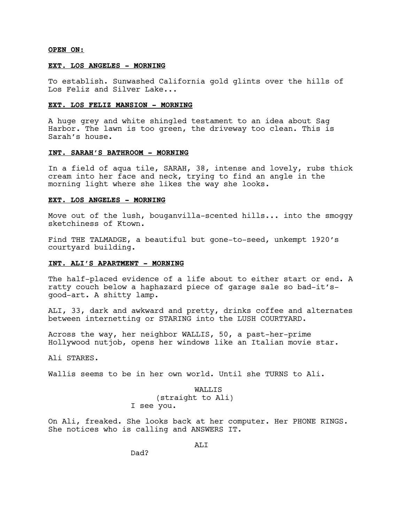**OPEN ON:**

# **EXT. LOS ANGELES - MORNING**

To establish. Sunwashed California gold glints over the hills of Los Feliz and Silver Lake...

# **EXT. LOS FELIZ MANSION - MORNING**

A huge grey and white shingled testament to an idea about Sag Harbor. The lawn is too green, the driveway too clean. This is Sarah's house.

# **INT. SARAH'S BATHROOM - MORNING**

In a field of aqua tile, SARAH, 38, intense and lovely, rubs thick cream into her face and neck, trying to find an angle in the morning light where she likes the way she looks.

### **EXT. LOS ANGELES - MORNING**

Move out of the lush, bouganvilla-scented hills... into the smoggy sketchiness of Ktown.

Find THE TALMADGE, a beautiful but gone-to-seed, unkempt 1920's courtyard building.

### **INT. ALI'S APARTMENT - MORNING**

The half-placed evidence of a life about to either start or end. A ratty couch below a haphazard piece of garage sale so bad-it'sgood-art. A shitty lamp.

ALI, 33, dark and awkward and pretty, drinks coffee and alternates between internetting or STARING into the LUSH COURTYARD.

Across the way, her neighbor WALLIS, 50, a past-her-prime Hollywood nutjob, opens her windows like an Italian movie star.

Ali STARES.

Wallis seems to be in her own world. Until she TURNS to Ali.

WALLIS (straight to Ali) I see you.

On Ali, freaked. She looks back at her computer. Her PHONE RINGS. She notices who is calling and ANSWERS IT.

ALI

Dad?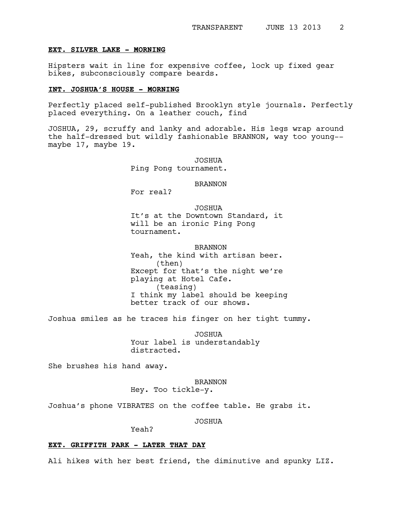#### **EXT. SILVER LAKE - MORNING**

Hipsters wait in line for expensive coffee, lock up fixed gear bikes, subconsciously compare beards.

### **INT. JOSHUA'S HOUSE - MORNING**

Perfectly placed self-published Brooklyn style journals. Perfectly placed everything. On a leather couch, find

JOSHUA, 29, scruffy and lanky and adorable. His legs wrap around the half-dressed but wildly fashionable BRANNON, way too young- maybe 17, maybe 19.

> JOSHUA Ping Pong tournament.

# BRANNON

For real?

JOSHUA It's at the Downtown Standard, it will be an ironic Ping Pong tournament.

BRANNON Yeah, the kind with artisan beer. (then) Except for that's the night we're playing at Hotel Cafe. (teasing) I think my label should be keeping better track of our shows.

Joshua smiles as he traces his finger on her tight tummy.

JOSHUA Your label is understandably distracted.

She brushes his hand away.

# BRANNON

```
Hey. Too tickle-y.
```
Joshua's phone VIBRATES on the coffee table. He grabs it.

JOSHUA

Yeah?

# **EXT. GRIFFITH PARK - LATER THAT DAY**

Ali hikes with her best friend, the diminutive and spunky LIZ.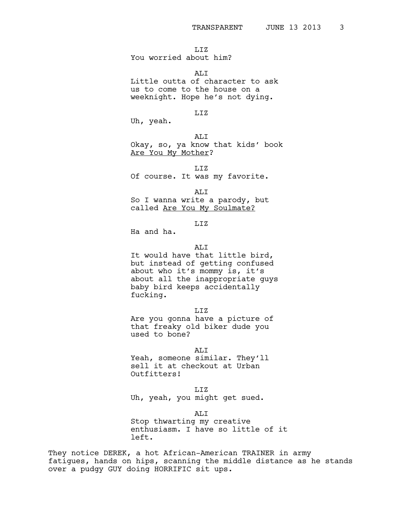LIZ

# You worried about him?

ALI

Little outta of character to ask us to come to the house on a weeknight. Hope he's not dying.

### LIZ

Uh, yeah.

ALI

Okay, so, ya know that kids' book Are You My Mother?

LIZ

Of course. It was my favorite.

ALI

So I wanna write a parody, but called Are You My Soulmate?

# LIZ

Ha and ha.

### ALI

It would have that little bird, but instead of getting confused about who it's mommy is, it's about all the inappropriate guys baby bird keeps accidentally fucking.

LIZ

Are you gonna have a picture of that freaky old biker dude you used to bone?

ALI

Yeah, someone similar. They'll sell it at checkout at Urban Outfitters!

LIZ

Uh, yeah, you might get sued.

ALI

Stop thwarting my creative enthusiasm. I have so little of it left.

They notice DEREK, a hot African-American TRAINER in army fatigues, hands on hips, scanning the middle distance as he stands over a pudgy GUY doing HORRIFIC sit ups.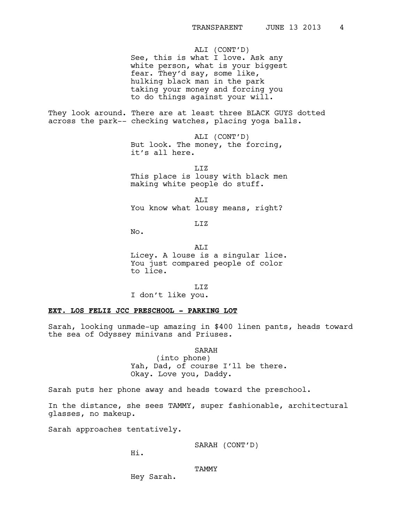ALI (CONT'D) See, this is what I love. Ask any white person, what is your biggest fear. They'd say, some like, hulking black man in the park taking your money and forcing you to do things against your will.

They look around. There are at least three BLACK GUYS dotted across the park-- checking watches, placing yoga balls.

> ALI (CONT'D) But look. The money, the forcing, it's all here.

LIZ This place is lousy with black men making white people do stuff.

ALI You know what lousy means, right?

LIZ

No.

ALI Licey. A louse is a singular lice. You just compared people of color to lice.

LIZ I don't like you.

## **EXT. LOS FELIZ JCC PRESCHOOL - PARKING LOT**

Sarah, looking unmade-up amazing in \$400 linen pants, heads toward the sea of Odyssey minivans and Priuses.

SARAH

(into phone) Yah, Dad, of course I'll be there. Okay. Love you, Daddy.

Sarah puts her phone away and heads toward the preschool.

In the distance, she sees TAMMY, super fashionable, architectural glasses, no makeup.

Sarah approaches tentatively.

SARAH (CONT'D)

Hi.

TAMMY

Hey Sarah.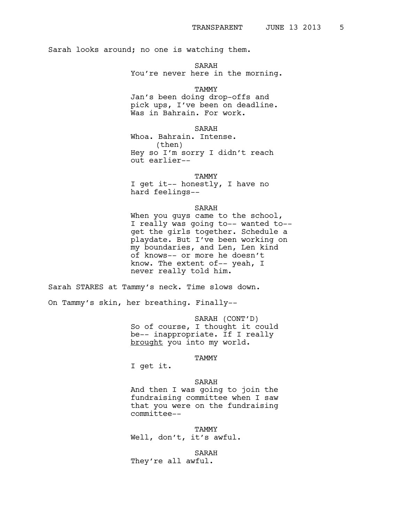Sarah looks around; no one is watching them.

SARAH You're never here in the morning.

**TAMMY** 

Jan's been doing drop-offs and pick ups, I've been on deadline. Was in Bahrain. For work.

SARAH

Whoa. Bahrain. Intense. (then) Hey so I'm sorry I didn't reach out earlier--

**TAMMY** 

I get it-- honestly, I have no hard feelings--

SARAH

When you guys came to the school, I really was going to-- wanted to- get the girls together. Schedule a playdate. But I've been working on my boundaries, and Len, Len kind of knows-- or more he doesn't know. The extent of-- yeah, I never really told him.

Sarah STARES at Tammy's neck. Time slows down.

On Tammy's skin, her breathing. Finally--

SARAH (CONT'D) So of course, I thought it could be-- inappropriate. If I really brought you into my world.

TAMMY

I get it.

# SARAH

And then I was going to join the fundraising committee when I saw that you were on the fundraising committee--

TAMMY

Well, don't, it's awful.

SARAH

They're all awful.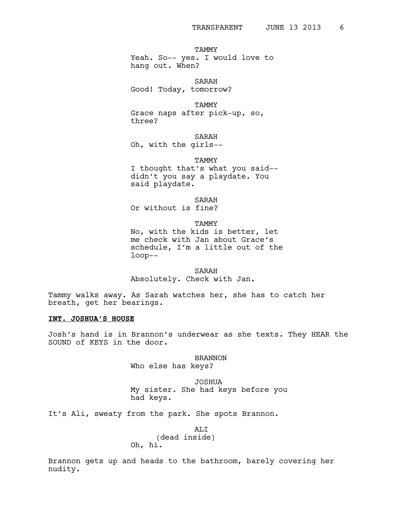TAMMY

Yeah. So-- yes. I would love to hang out. When?

SARAH Good! Today, tomorrow?

TAMMY Grace naps after pick-up, so, three?

SARAH Oh, with the girls--

TAMMY I thought that's what you said- didn't you say a playdate. You said playdate.

SARAH Or without is fine?

TAMMY

No, with the kids is better, let me check with Jan about Grace's schedule, I'm a little out of the loop--

SARAH Absolutely. Check with Jan.

Tammy walks away. As Sarah watches her, she has to catch her breath, get her bearings.

### **INT. JOSHUA'S HOUSE**

Josh's hand is in Brannon's underwear as she texts. They HEAR the SOUND of KEYS in the door.

> BRANNON Who else has keys?

JOSHUA My sister. She had keys before you had keys.

It's Ali, sweaty from the park. She spots Brannon.

ALI (dead inside) Oh, hi.

Brannon gets up and heads to the bathroom, barely covering her nudity.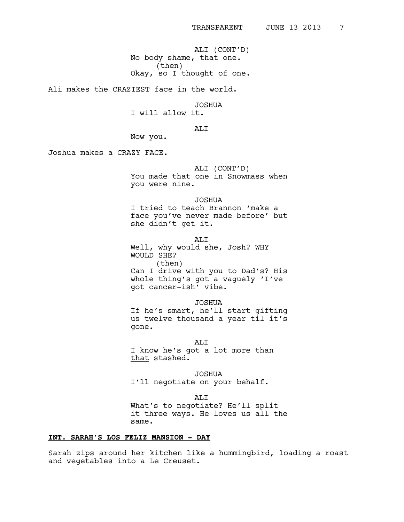ALI (CONT'D) No body shame, that one. (then) Okay, so I thought of one.

Ali makes the CRAZIEST face in the world.

JOSHUA

I will allow it.

ALI

Now you.

Joshua makes a CRAZY FACE.

#### ALI (CONT'D)

You made that one in Snowmass when you were nine.

JOSHUA

I tried to teach Brannon 'make a face you've never made before' but she didn't get it.

ALI

Well, why would she, Josh? WHY WOULD SHE? (then) Can I drive with you to Dad's? His whole thing's got a vaguely 'I've got cancer-ish' vibe.

#### JOSHUA

If he's smart, he'll start gifting us twelve thousand a year til it's gone.

ALI I know he's got a lot more than that stashed.

JOSHUA I'll negotiate on your behalf.

ALI What's to negotiate? He'll split it three ways. He loves us all the same.

# **INT. SARAH'S LOS FELIZ MANSION - DAY**

Sarah zips around her kitchen like a hummingbird, loading a roast and vegetables into a Le Creuset.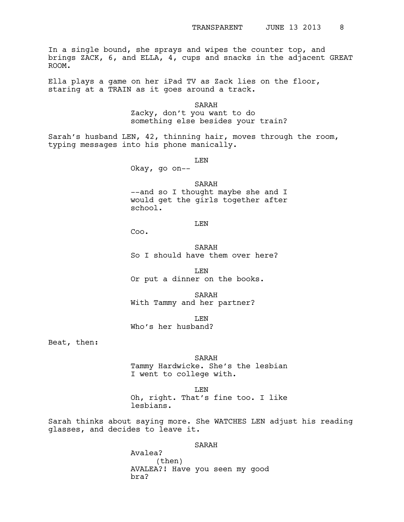In a single bound, she sprays and wipes the counter top, and brings ZACK, 6, and ELLA, 4, cups and snacks in the adjacent GREAT ROOM.

Ella plays a game on her iPad TV as Zack lies on the floor, staring at a TRAIN as it goes around a track.

> SARAH Zacky, don't you want to do something else besides your train?

Sarah's husband LEN, 42, thinning hair, moves through the room, typing messages into his phone manically.

LEN

Okay, go on--

SARAH --and so I thought maybe she and I would get the girls together after school.

LEN

Coo.

SARAH So I should have them over here?

LEN Or put a dinner on the books.

SARAH With Tammy and her partner?

LEN Who's her husband?

Beat, then:

SARAH

Tammy Hardwicke. She's the lesbian I went to college with.

LEN Oh, right. That's fine too. I like lesbians.

Sarah thinks about saying more. She WATCHES LEN adjust his reading glasses, and decides to leave it.

# SARAH

Avalea? (then) AVALEA?! Have you seen my good bra?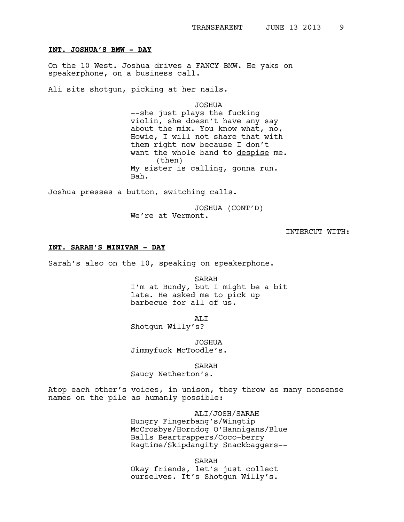#### **INT. JOSHUA'S BMW - DAY**

On the 10 West. Joshua drives a FANCY BMW. He yaks on speakerphone, on a business call.

Ali sits shotgun, picking at her nails.

JOSHUA

--she just plays the fucking violin, she doesn't have any say about the mix. You know what, no, Howie, I will not share that with them right now because I don't want the whole band to despise me. (then) My sister is calling, gonna run. Bah.

Joshua presses a button, switching calls.

JOSHUA (CONT'D) We're at Vermont.

INTERCUT WITH:

### **INT. SARAH'S MINIVAN - DAY**

Sarah's also on the 10, speaking on speakerphone.

SARAH

I'm at Bundy, but I might be a bit late. He asked me to pick up barbecue for all of us.

ALI

Shotgun Willy's?

JOSHUA Jimmyfuck McToodle's.

SARAH

Saucy Netherton's.

Atop each other's voices, in unison, they throw as many nonsense names on the pile as humanly possible:

ALI/JOSH/SARAH

Hungry Fingerbang's/Wingtip McCrosbys/Horndog O'Hannigans/Blue Balls Beartrappers/Coco-berry Ragtime/Skipdangity Snackbaggers--

SARAH

Okay friends, let's just collect ourselves. It's Shotgun Willy's.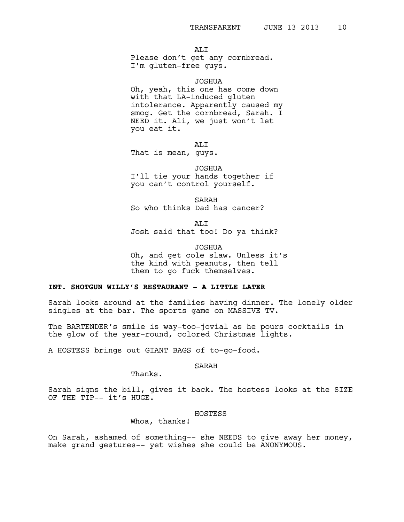AT.T

Please don't get any cornbread. I'm gluten-free guys.

#### JOSHUA

Oh, yeah, this one has come down with that LA-induced gluten intolerance. Apparently caused my smog. Get the cornbread, Sarah. I NEED it. Ali, we just won't let you eat it.

ALI

That is mean, guys.

JOSHUA I'll tie your hands together if you can't control yourself.

SARAH So who thinks Dad has cancer?

ALI

Josh said that too! Do ya think?

JOSHUA

Oh, and get cole slaw. Unless it's the kind with peanuts, then tell them to go fuck themselves.

# **INT. SHOTGUN WILLY'S RESTAURANT - A LITTLE LATER**

Sarah looks around at the families having dinner. The lonely older singles at the bar. The sports game on MASSIVE TV.

The BARTENDER's smile is way-too-jovial as he pours cocktails in the glow of the year-round, colored Christmas lights.

A HOSTESS brings out GIANT BAGS of to-go-food.

SARAH

Thanks.

Sarah signs the bill, gives it back. The hostess looks at the SIZE OF THE TIP-- it's HUGE.

#### HOSTESS

Whoa, thanks!

On Sarah, ashamed of something-- she NEEDS to give away her money, make grand gestures-- yet wishes she could be ANONYMOUS.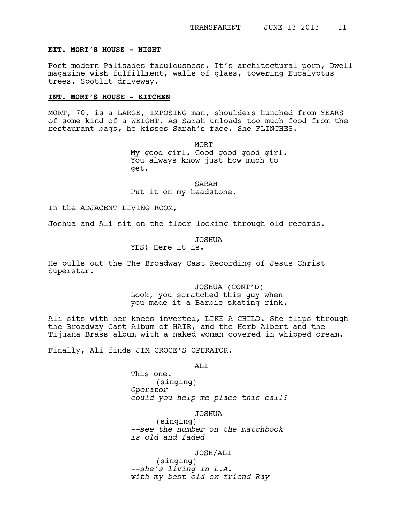#### **EXT. MORT'S HOUSE - NIGHT**

Post-modern Palisades fabulousness. It's architectural porn, Dwell magazine wish fulfillment, walls of glass, towering Eucalyptus trees. Spotlit driveway.

### **INT. MORT'S HOUSE - KITCHEN**

MORT, 70, is a LARGE, IMPOSING man, shoulders hunched from YEARS of some kind of a WEIGHT. As Sarah unloads too much food from the restaurant bags, he kisses Sarah's face. She FLINCHES.

> **MORT** My good girl. Good good good girl. You always know just how much to get.

SARAH Put it on my headstone.

In the ADJACENT LIVING ROOM,

Joshua and Ali sit on the floor looking through old records.

JOSHUA

YES! Here it is.

He pulls out the The Broadway Cast Recording of Jesus Christ Superstar.

> JOSHUA (CONT'D) Look, you scratched this guy when you made it a Barbie skating rink.

Ali sits with her knees inverted, LIKE A CHILD. She flips through the Broadway Cast Album of HAIR, and the Herb Albert and the Tijuana Brass album with a naked woman covered in whipped cream.

Finally, Ali finds JIM CROCE'S OPERATOR.

ALI

This one. (singing) *Operator could you help me place this call?* 

JOSHUA

(singing) *--see the number on the matchbook is old and faded*

JOSH/ALI

(singing) *--she's living in L.A. with my best old ex-friend Ray*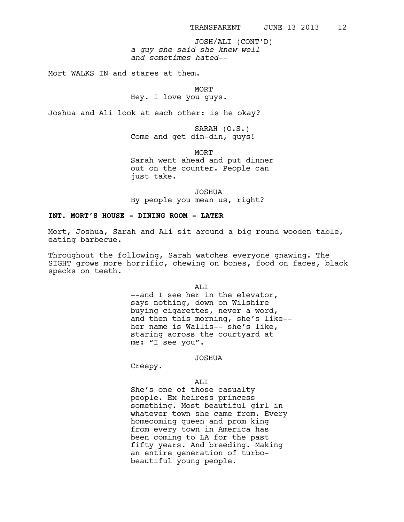*a guy she said she knew well and sometimes hated--* JOSH/ALI (CONT'D)

Mort WALKS IN and stares at them.

**MORT** 

Hey. I love you guys.

Joshua and Ali look at each other: is he okay?

SARAH (O.S.) Come and get din-din, guys!

MORT

Sarah went ahead and put dinner out on the counter. People can just take.

JOSHUA

By people you mean us, right?

# **INT. MORT'S HOUSE - DINING ROOM - LATER**

Mort, Joshua, Sarah and Ali sit around a big round wooden table, eating barbecue.

Throughout the following, Sarah watches everyone gnawing. The SIGHT grows more horrific, chewing on bones, food on faces, black specks on teeth.

ALI

--and I see her in the elevator, says nothing, down on Wilshire buying cigarettes, never a word, and then this morning, she's like- her name is Wallis-- she's like, staring across the courtyard at me: "I see you".

# JOSHUA

Creepy.

# ALI

She's one of those casualty people. Ex heiress princess something. Most beautiful girl in whatever town she came from. Every homecoming queen and prom king from every town in America has been coming to LA for the past fifty years. And breeding. Making an entire generation of turbobeautiful young people.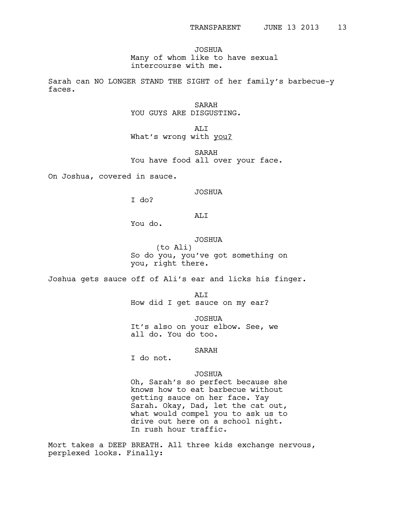JOSHUA Many of whom like to have sexual intercourse with me.

Sarah can NO LONGER STAND THE SIGHT of her family's barbecue-y faces.

> SARAH YOU GUYS ARE DISGUSTING.

ALI What's wrong with you?

SARAH You have food all over your face.

On Joshua, covered in sauce.

### JOSHUA

I do?

ALI

You do.

# JOSHUA

(to Ali) So do you, you've got something on you, right there.

Joshua gets sauce off of Ali's ear and licks his finger.

ALI How did I get sauce on my ear?

JOSHUA It's also on your elbow. See, we all do. You do too.

# SARAH

I do not.

# JOSHUA

Oh, Sarah's so perfect because she knows how to eat barbecue without getting sauce on her face. Yay Sarah. Okay, Dad, let the cat out, what would compel you to ask us to drive out here on a school night. In rush hour traffic.

Mort takes a DEEP BREATH. All three kids exchange nervous, perplexed looks. Finally: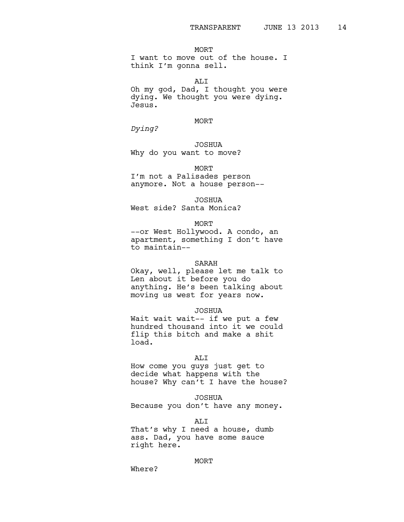MORT I want to move out of the house. I think I'm gonna sell.

ALI Oh my god, Dad, I thought you were dying. We thought you were dying. Jesus.

#### MORT

*Dying?*

JOSHUA Why do you want to move?

MORT

I'm not a Palisades person anymore. Not a house person--

JOSHUA West side? Santa Monica?

MORT

--or West Hollywood. A condo, an apartment, something I don't have to maintain--

#### SARAH

Okay, well, please let me talk to Len about it before you do anything. He's been talking about moving us west for years now.

JOSHUA

Wait wait wait -- if we put a few hundred thousand into it we could flip this bitch and make a shit load.

#### ALI

How come you guys just get to decide what happens with the house? Why can't I have the house?

#### JOSHUA

Because you don't have any money.

ALI

That's why I need a house, dumb ass. Dad, you have some sauce right here.

#### MORT

Where?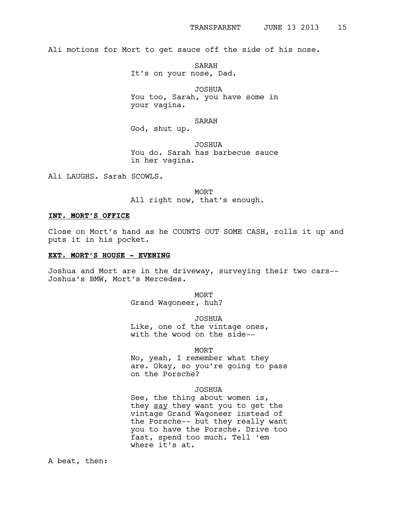Ali motions for Mort to get sauce off the side of his nose.

SARAH

It's on your nose, Dad.

JOSHUA

You too, Sarah, you have some in your vagina.

SARAH

God, shut up.

JOSHUA You do. Sarah has barbecue sauce in her vagina.

Ali LAUGHS. Sarah SCOWLS.

**MORT** All right now, that's enough.

### **INT. MORT'S OFFICE**

Close on Mort's hand as he COUNTS OUT SOME CASH, rolls it up and puts it in his pocket.

#### **EXT. MORT'S HOUSE - EVENING**

Joshua and Mort are in the driveway, surveying their two cars-- Joshua's BMW, Mort's Mercedes.

> MORT Grand Wagoneer, huh?

JOSHUA Like, one of the vintage ones, with the wood on the side--

### **MORT**

No, yeah, I remember what they are. Okay, so you're going to pass on the Porsche?

#### JOSHUA

See, the thing about women is, they say they want you to get the vintage Grand Wagoneer instead of the Porsche-- but they really want you to have the Porsche. Drive too fast, spend too much. Tell 'em where it's at.

A beat, then: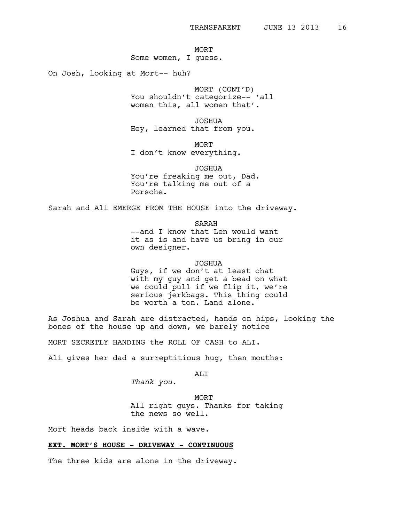MORT Some women, I guess.

On Josh, looking at Mort-- huh?

MORT (CONT'D) You shouldn't categorize-- 'all women this, all women that'.

JOSHUA Hey, learned that from you.

MORT I don't know everything.

JOSHUA You're freaking me out, Dad. You're talking me out of a Porsche.

Sarah and Ali EMERGE FROM THE HOUSE into the driveway.

SARAH --and I know that Len would want it as is and have us bring in our own designer.

#### JOSHUA

Guys, if we don't at least chat with my guy and get a bead on what we could pull if we flip it, we're serious jerkbags. This thing could be worth a ton. Land alone.

As Joshua and Sarah are distracted, hands on hips, looking the bones of the house up and down, we barely notice

MORT SECRETLY HANDING the ROLL OF CASH to ALI.

Ali gives her dad a surreptitious hug, then mouths:

ALI

*Thank you*.

MORT All right guys. Thanks for taking the news so well.

Mort heads back inside with a wave.

# **EXT. MORT'S HOUSE - DRIVEWAY - CONTINUOUS**

The three kids are alone in the driveway.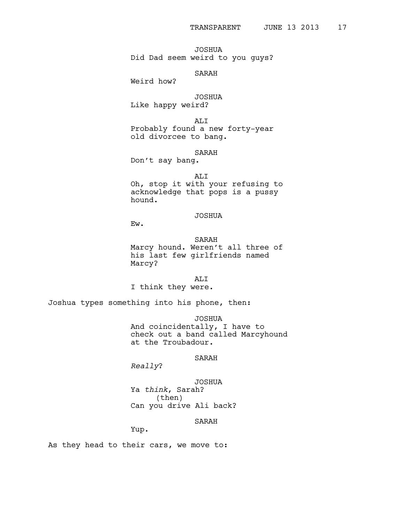JOSHUA Did Dad seem weird to you guys?

### SARAH

Weird how?

JOSHUA Like happy weird?

ALI Probably found a new forty-year old divorcee to bang.

SARAH

Don't say bang.

# ALI

Oh, stop it with your refusing to acknowledge that pops is a pussy hound.

# JOSHUA

Ew.

# SARAH

Marcy hound. Weren't all three of his last few girlfriends named Marcy?

# ALI

I think they were.

Joshua types something into his phone, then:

JOSHUA

And coincidentally, I have to check out a band called Marcyhound at the Troubadour.

# SARAH

*Really*?

JOSHUA Ya *think*, Sarah? (then) Can you drive Ali back?

### SARAH

Yup.

As they head to their cars, we move to: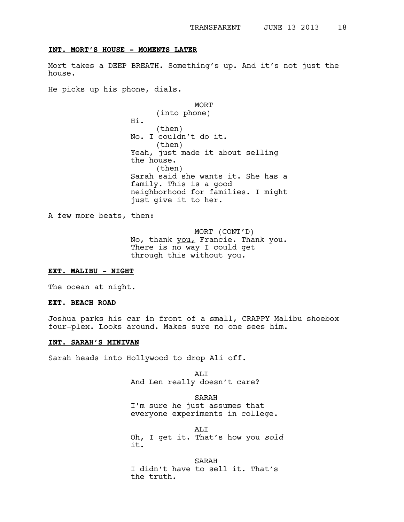#### **INT. MORT'S HOUSE - MOMENTS LATER**

Mort takes a DEEP BREATH. Something's up. And it's not just the house.

He picks up his phone, dials.

**MORT** (into phone) Hi. (then) No. I couldn't do it. (then) Yeah, just made it about selling the house. (then) Sarah said she wants it. She has a family. This is a good neighborhood for families. I might just give it to her.

A few more beats, then:

MORT (CONT'D) No, thank you, Francie. Thank you. There is no way I could get through this without you.

### **EXT. MALIBU - NIGHT**

The ocean at night.

### **EXT. BEACH ROAD**

Joshua parks his car in front of a small, CRAPPY Malibu shoebox four-plex. Looks around. Makes sure no one sees him.

# **INT. SARAH'S MINIVAN**

Sarah heads into Hollywood to drop Ali off.

ALI And Len really doesn't care?

SARAH I'm sure he just assumes that everyone experiments in college.

ALI Oh, I get it. That's how you *sold* it.

SARAH I didn't have to sell it. That's the truth.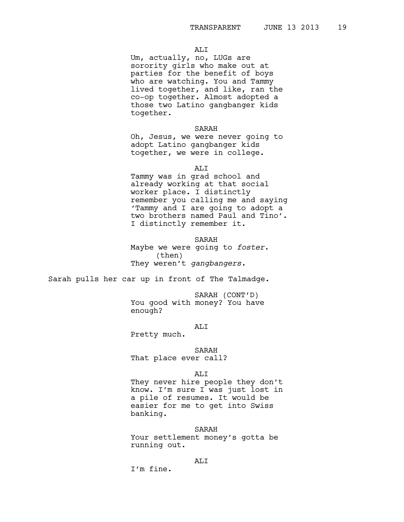# ALI

Um, actually, no, LUGs are sorority girls who make out at parties for the benefit of boys who are watching. You and Tammy lived together, and like, ran the co-op together. Almost adopted a those two Latino gangbanger kids together.

#### SARAH

Oh, Jesus, we were never going to adopt Latino gangbanger kids together, we were in college.

ALI

Tammy was in grad school and already working at that social worker place. I distinctly remember you calling me and saying 'Tammy and I are going to adopt a two brothers named Paul and Tino'. I distinctly remember it.

SARAH Maybe we were going to *foster*. (then) They weren't *gangbangers.*

Sarah pulls her car up in front of The Talmadge.

SARAH (CONT'D) You good with money? You have enough?

# ALI

Pretty much.

SARAH

That place ever call?

#### ALI

They never hire people they don't know. I'm sure I was just lost in a pile of resumes. It would be easier for me to get into Swiss banking.

#### SARAH

Your settlement money's gotta be running out.

# ALI

I'm fine.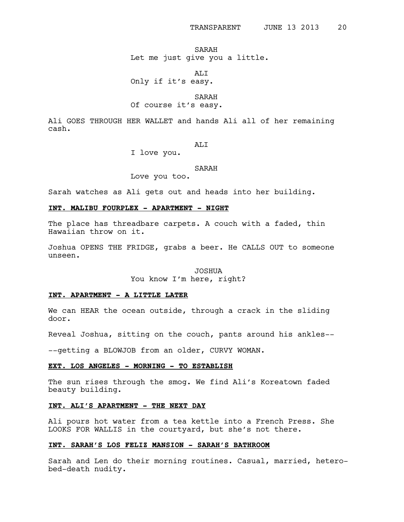# SARAH Let me just give you a little.

ALI

Only if it's easy.

SARAH

# Of course it's easy.

Ali GOES THROUGH HER WALLET and hands Ali all of her remaining cash.

ALI

I love you.

### SARAH

Love you too.

Sarah watches as Ali gets out and heads into her building.

# **INT. MALIBU FOURPLEX - APARTMENT - NIGHT**

The place has threadbare carpets. A couch with a faded, thin Hawaiian throw on it.

Joshua OPENS THE FRIDGE, grabs a beer. He CALLS OUT to someone unseen.

#### JOSHUA

You know I'm here, right?

# **INT. APARTMENT - A LITTLE LATER**

We can HEAR the ocean outside, through a crack in the sliding door.

Reveal Joshua, sitting on the couch, pants around his ankles--

--getting a BLOWJOB from an older, CURVY WOMAN.

# **EXT. LOS ANGELES - MORNING - TO ESTABLISH**

The sun rises through the smog. We find Ali's Koreatown faded beauty building.

# **INT. ALI'S APARTMENT - THE NEXT DAY**

Ali pours hot water from a tea kettle into a French Press. She LOOKS FOR WALLIS in the courtyard, but she's not there.

### **INT. SARAH'S LOS FELIZ MANSION - SARAH'S BATHROOM**

Sarah and Len do their morning routines. Casual, married, heterobed-death nudity.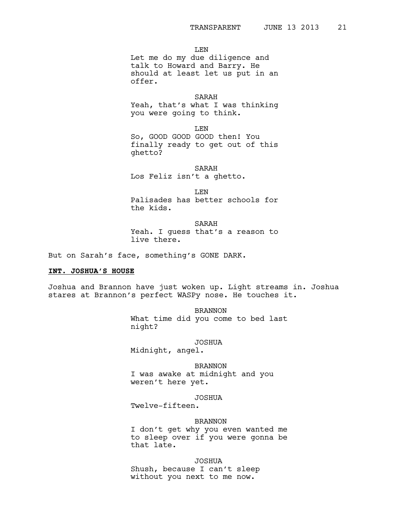LEN

Let me do my due diligence and talk to Howard and Barry. He should at least let us put in an offer.

#### SARAH

Yeah, that's what I was thinking you were going to think.

LEN

So, GOOD GOOD GOOD then! You finally ready to get out of this ghetto?

#### SARAH

Los Feliz isn't a ghetto.

LEN

Palisades has better schools for the kids.

SARAH Yeah. I guess that's a reason to live there.

But on Sarah's face, something's GONE DARK.

### **INT. JOSHUA'S HOUSE**

Joshua and Brannon have just woken up. Light streams in. Joshua stares at Brannon's perfect WASPy nose. He touches it.

> BRANNON What time did you come to bed last night?

> > JOSHUA

Midnight, angel.

BRANNON

I was awake at midnight and you weren't here yet.

#### JOSHUA

Twelve-fifteen.

#### BRANNON

I don't get why you even wanted me to sleep over if you were gonna be that late.

JOSHUA Shush, because I can't sleep without you next to me now.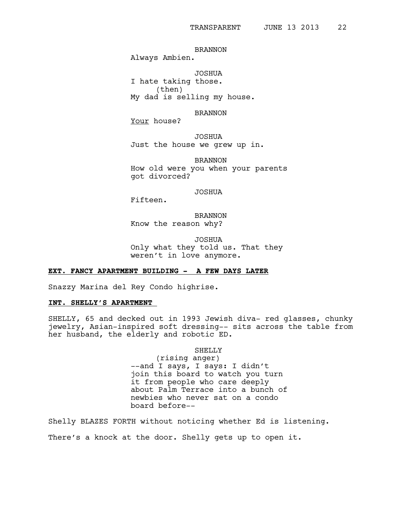BRANNON

Always Ambien.

JOSHUA I hate taking those. (then) My dad is selling my house.

BRANNON

Your house?

JOSHUA Just the house we grew up in.

BRANNON How old were you when your parents got divorced?

JOSHUA

Fifteen.

BRANNON Know the reason why?

JOSHUA Only what they told us. That they

weren't in love anymore.

# **EXT. FANCY APARTMENT BUILDING - A FEW DAYS LATER**

Snazzy Marina del Rey Condo highrise.

### **INT. SHELLY'S APARTMENT**

SHELLY, 65 and decked out in 1993 Jewish diva- red glasses, chunky jewelry, Asian-inspired soft dressing-- sits across the table from her husband, the elderly and robotic ED.

SHELLY

(rising anger) --and I says, I says: I didn't join this board to watch you turn it from people who care deeply about Palm Terrace into a bunch of newbies who never sat on a condo board before--

Shelly BLAZES FORTH without noticing whether Ed is listening. There's a knock at the door. Shelly gets up to open it.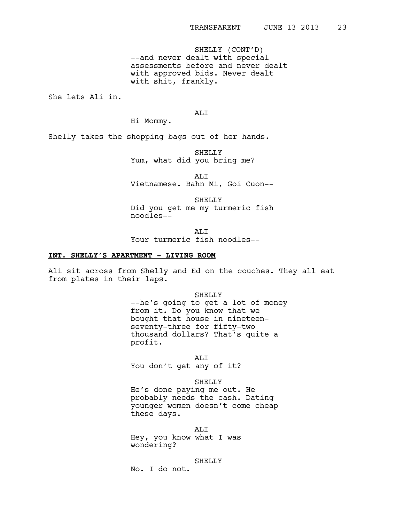SHELLY (CONT'D) --and never dealt with special assessments before and never dealt with approved bids. Never dealt with shit, frankly.

She lets Ali in.

ALI

Hi Mommy.

Shelly takes the shopping bags out of her hands.

SHELLY Yum, what did you bring me?

ALI Vietnamese. Bahn Mi, Goi Cuon--

SHELLY Did you get me my turmeric fish noodles--

ALI Your turmeric fish noodles--

# **INT. SHELLY'S APARTMENT - LIVING ROOM**

Ali sit across from Shelly and Ed on the couches. They all eat from plates in their laps.

> SHELLY --he's going to get a lot of money from it. Do you know that we bought that house in nineteenseventy-three for fifty-two thousand dollars? That's quite a profit.

ALI You don't get any of it?

SHELLY

He's done paying me out. He probably needs the cash. Dating younger women doesn't come cheap these days.

ALI Hey, you know what I was wondering?

SHELLY

No. I do not.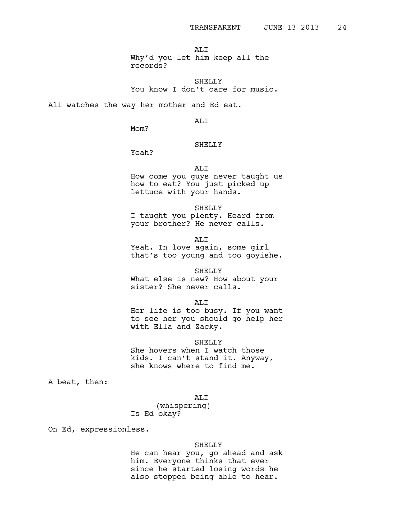ALI Why'd you let him keep all the records?

SHELLY You know I don't care for music.

Ali watches the way her mother and Ed eat.

ALI

Mom?

# SHELLY

Yeah?

#### ALI

How come you guys never taught us how to eat? You just picked up lettuce with your hands.

SHELLY

I taught you plenty. Heard from your brother? He never calls.

ALI

Yeah. In love again, some girl that's too young and too goyishe.

SHELLY

What else is new? How about your sister? She never calls.

AT.T

Her life is too busy. If you want to see her you should go help her with Ella and Zacky.

SHELLY

She hovers when I watch those kids. I can't stand it. Anyway, she knows where to find me.

A beat, then:

ALI

(whispering) Is Ed okay?

On Ed, expressionless.

#### SHELLY

He can hear you, go ahead and ask him. Everyone thinks that ever since he started losing words he also stopped being able to hear.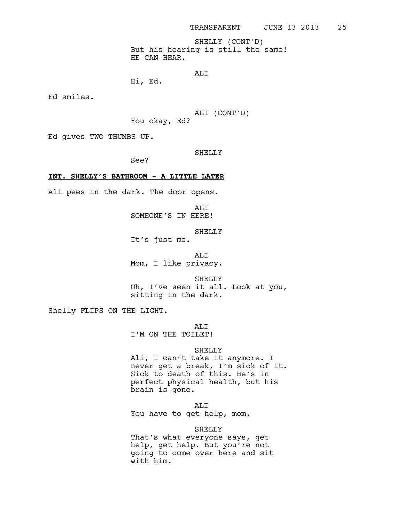But his hearing is still the same! HE CAN HEAR. SHELLY (CONT'D)

```
ALI
```
Hi, Ed.

Ed smiles.

ALI (CONT'D) You okay, Ed?

Ed gives TWO THUMBS UP.

# SHELLY

See?

### **INT. SHELLY'S BATHROOM - A LITTLE LATER**

Ali pees in the dark. The door opens.

ALI SOMEONE'S IN HERE!

SHELLY

It's just me.

ALI Mom, I like privacy.

SHELLY Oh, I've seen it all. Look at you, sitting in the dark.

Shelly FLIPS ON THE LIGHT.

ALI

I'M ON THE TOILET!

#### SHELLY

Ali, I can't take it anymore. I never get a break, I'm sick of it. Sick to death of this. He's in perfect physical health, but his brain is gone.

ALI

You have to get help, mom.

#### SHELLY

That's what everyone says, get help, get help. But you're not going to come over here and sit with him.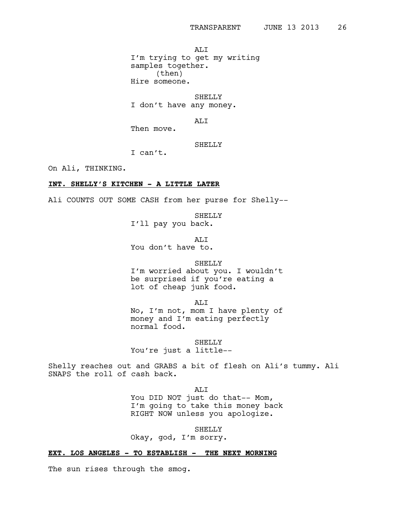ALI I'm trying to get my writing samples together. (then) Hire someone.

SHELLY I don't have any money.

ALI

Then move.

### SHELLY

I can't.

On Ali, THINKING.

# **INT. SHELLY'S KITCHEN - A LITTLE LATER**

Ali COUNTS OUT SOME CASH from her purse for Shelly--

SHELLY

I'll pay you back.

ALI You don't have to.

### SHELLY

I'm worried about you. I wouldn't be surprised if you're eating a lot of cheap junk food.

ALI

No, I'm not, mom I have plenty of money and I'm eating perfectly normal food.

SHELLY

You're just a little--

Shelly reaches out and GRABS a bit of flesh on Ali's tummy. Ali SNAPS the roll of cash back.

ALI

You DID NOT just do that-- Mom, I'm going to take this money back RIGHT NOW unless you apologize.

SHELLY

Okay, god, I'm sorry.

# **EXT. LOS ANGELES - TO ESTABLISH - THE NEXT MORNING**

The sun rises through the smog.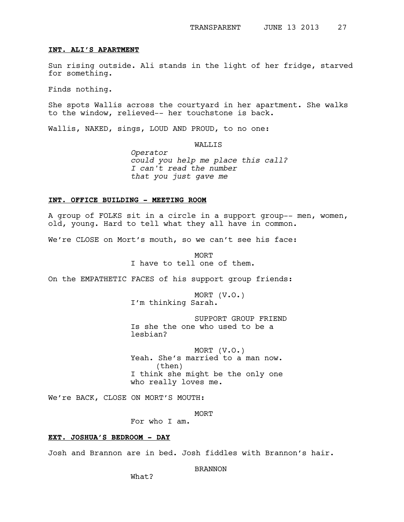#### **INT. ALI'S APARTMENT**

Sun rising outside. Ali stands in the light of her fridge, starved for something.

Finds nothing.

She spots Wallis across the courtyard in her apartment. She walks to the window, relieved-- her touchstone is back.

Wallis, NAKED, sings, LOUD AND PROUD, to no one:

WALLIS

*Operator could you help me place this call? I can't read the number that you just gave me*

#### **INT. OFFICE BUILDING - MEETING ROOM**

A group of FOLKS sit in a circle in a support group-- men, women, old, young. Hard to tell what they all have in common.

We're CLOSE on Mort's mouth, so we can't see his face:

**MORT** I have to tell one of them.

On the EMPATHETIC FACES of his support group friends:

MORT (V.O.) I'm thinking Sarah.

SUPPORT GROUP FRIEND Is she the one who used to be a lesbian?

MORT (V.O.) Yeah. She's married to a man now. (then) I think she might be the only one who really loves me.

We're BACK, CLOSE ON MORT'S MOUTH:

**MORT** 

For who I am.

# **EXT. JOSHUA'S BEDROOM - DAY**

Josh and Brannon are in bed. Josh fiddles with Brannon's hair.

BRANNON

What?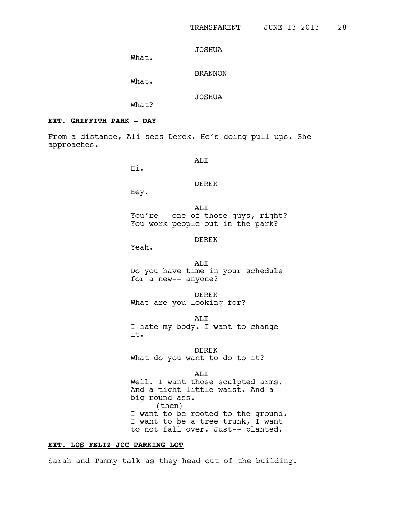JOSHUA

What.

BRANNON

What.

JOSHUA

What?

# **EXT. GRIFFITH PARK - DAY**

From a distance, Ali sees Derek. He's doing pull ups. She approaches.

ALI

Hi.

# DEREK

Hey.

ALI You're-- one of those guys, right? You work people out in the park?

DEREK

Yeah.

ALI Do you have time in your schedule for a new-- anyone?

DEREK What are you looking for?

ALI I hate my body. I want to change it.

DEREK What do you want to do to it?

ALI Well. I want those sculpted arms. And a tight little waist. And a big round ass. (then) I want to be rooted to the ground. I want to be a tree trunk, I want to not fall over. Just-- planted.

# **EXT. LOS FELIZ JCC PARKING LOT**

Sarah and Tammy talk as they head out of the building.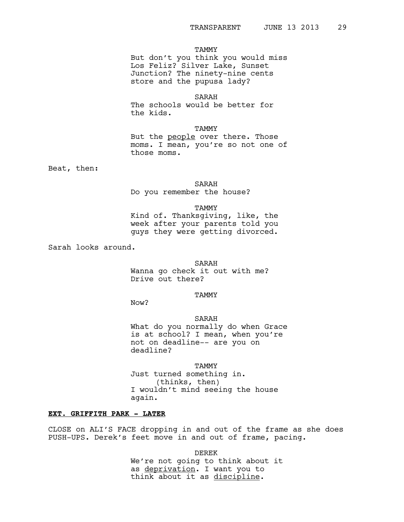#### TAMMY

But don't you think you would miss Los Feliz? Silver Lake, Sunset Junction? The ninety-nine cents store and the pupusa lady?

SARAH

The schools would be better for the kids.

TAMMY

But the people over there. Those moms. I mean, you're so not one of those moms.

Beat, then:

SARAH

Do you remember the house?

### TAMMY

Kind of. Thanksgiving, like, the week after your parents told you guys they were getting divorced.

Sarah looks around.

SARAH Wanna go check it out with me? Drive out there?

**TAMMY** 

Now?

SARAH

What do you normally do when Grace is at school? I mean, when you're not on deadline-- are you on deadline?

TAMMY

Just turned something in. (thinks, then) I wouldn't mind seeing the house again.

# **EXT. GRIFFITH PARK - LATER**

CLOSE on ALI'S FACE dropping in and out of the frame as she does PUSH-UPS. Derek's feet move in and out of frame, pacing.

DEREK

We're not going to think about it as deprivation. I want you to think about it as discipline.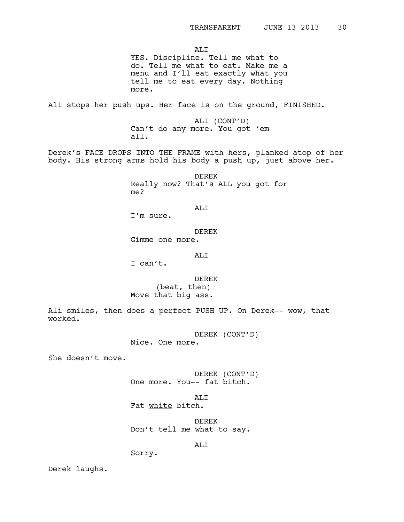ALI YES. Discipline. Tell me what to do. Tell me what to eat. Make me a menu and I'll eat exactly what you tell me to eat every day. Nothing more. Ali stops her push ups. Her face is on the ground, FINISHED. ALI (CONT'D) Can't do any more. You got 'em all. Derek's FACE DROPS INTO THE FRAME with hers, planked atop of her body. His strong arms hold his body a push up, just above her. DEREK Really now? That's ALL you got for me? ALI I'm sure. DEREK Gimme one more. ALI I can't. DEREK (beat, then) Move that big ass.

Ali smiles, then does a perfect PUSH UP. On Derek-- wow, that worked.

DEREK (CONT'D)

Nice. One more.

She doesn't move.

DEREK (CONT'D) One more. You-- fat bitch.

ALI

Fat white bitch.

DEREK Don't tell me what to say.

ALI

Sorry.

Derek laughs.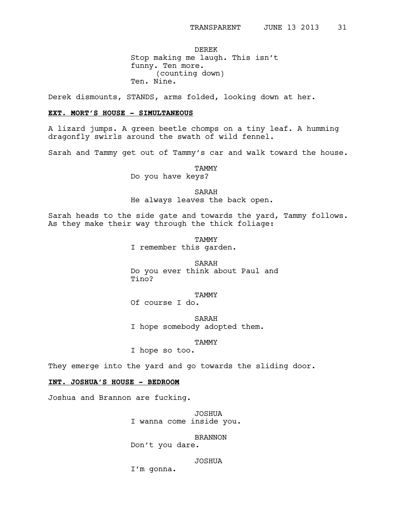DEREK Stop making me laugh. This isn't funny. Ten more. (counting down) Ten. Nine.

Derek dismounts, STANDS, arms folded, looking down at her.

# **EXT. MORT'S HOUSE - SIMULTANEOUS**

A lizard jumps. A green beetle chomps on a tiny leaf. A humming dragonfly swirls around the swath of wild fennel.

Sarah and Tammy get out of Tammy's car and walk toward the house.

TAMMY

Do you have keys?

SARAH

He always leaves the back open.

Sarah heads to the side gate and towards the yard, Tammy follows. As they make their way through the thick foliage:

> **TAMMY** I remember this garden.

SARAH Do you ever think about Paul and  $T$ ino?

**TAMMY** 

Of course I do.

SARAH I hope somebody adopted them.

TAMMY

I hope so too.

They emerge into the yard and go towards the sliding door.

# **INT. JOSHUA'S HOUSE - BEDROOM**

Joshua and Brannon are fucking.

JOSHUA I wanna come inside you.

BRANNON Don't you dare.

JOSHUA

I'm gonna.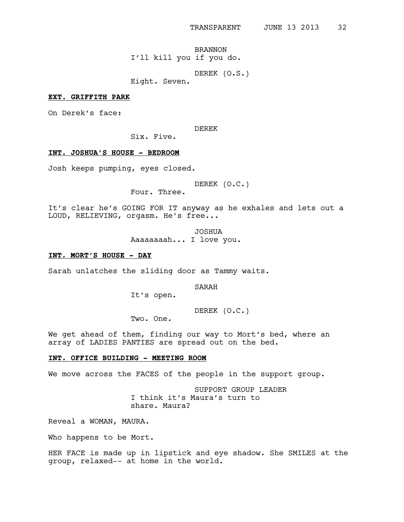BRANNON I'll kill you if you do.

DEREK (O.S.)

Eight. Seven.

### **EXT. GRIFFITH PARK**

On Derek's face:

DEREK

Six. Five.

# **INT. JOSHUA'S HOUSE - BEDROOM**

Josh keeps pumping, eyes closed.

DEREK (O.C.)

Four. Three.

It's clear he's GOING FOR IT anyway as he exhales and lets out a LOUD, RELIEVING, orgasm. He's free...

> JOSHUA Aaaaaaaah... I love you.

# **INT. MORT'S HOUSE - DAY**

Sarah unlatches the sliding door as Tammy waits.

SARAH

It's open.

DEREK (O.C.)

Two. One.

We get ahead of them, finding our way to Mort's bed, where an array of LADIES PANTIES are spread out on the bed.

### **INT. OFFICE BUILDING - MEETING ROOM**

We move across the FACES of the people in the support group.

SUPPORT GROUP LEADER I think it's Maura's turn to share. Maura?

Reveal a WOMAN, MAURA.

Who happens to be Mort.

HER FACE is made up in lipstick and eye shadow. She SMILES at the group, relaxed-- at home in the world.